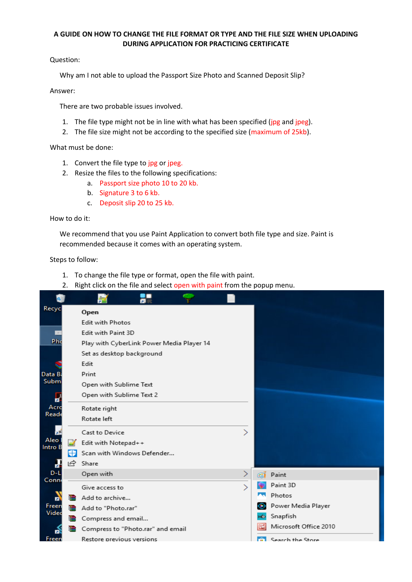## **A GUIDE ON HOW TO CHANGE THE FILE FORMAT OR TYPE AND THE FILE SIZE WHEN UPLOADING DURING APPLICATION FOR PRACTICING CERTIFICATE**

Question:

Why am I not able to upload the Passport Size Photo and Scanned Deposit Slip?

## Answer:

There are two probable issues involved.

- 1. The file type might not be in line with what has been specified (jpg and jpeg).
- 2. The file size might not be according to the specified size (maximum of 25kb).

What must be done:

- 1. Convert the file type to jpg or jpeg.
- 2. Resize the files to the following specifications:
	- a. Passport size photo 10 to 20 kb.
	- b. Signature 3 to 6 kb.
	- c. Deposit slip 20 to 25 kb.

## How to do it:

We recommend that you use Paint Application to convert both file type and size. Paint is recommended because it comes with an operating system.

Steps to follow:

- 1. To change the file type or format, open the file with paint.
- 2. Right click on the file and select open with paint from the popup menu.

|                 |    | 墅                                         |               |    |                          |
|-----------------|----|-------------------------------------------|---------------|----|--------------------------|
| Recyc           |    | Open                                      |               |    |                          |
|                 |    | Edit with Photos                          |               |    |                          |
|                 |    | Edit with Paint 3D                        |               |    |                          |
| Pho             |    | Play with CyberLink Power Media Player 14 |               |    |                          |
|                 |    | Set as desktop background                 |               |    |                          |
|                 |    | Edit                                      |               |    |                          |
| Data B          |    | Print                                     |               |    |                          |
| Subm            |    | Open with Sublime Text                    |               |    |                          |
| б               |    | Open with Sublime Text 2                  |               |    |                          |
| Acro            |    | Rotate right                              |               |    |                          |
| Read            |    | Rotate left                               |               |    |                          |
| ГлР             |    | Cast to Device                            |               |    |                          |
| Aleo<br>Intro B |    | Edit with Notepad++                       |               |    |                          |
|                 | ÷  | Scan with Windows Defender                |               |    |                          |
| a               | ΙQ | Share                                     |               |    |                          |
| $D - L$         |    | Open with                                 |               | æ  | Paint                    |
| Conn            |    | Give access to                            | $\mathcal{P}$ |    | Paint 3D                 |
| п               |    | Add to archive                            |               |    | Photos                   |
| Freen           |    | add to "Photo.rar"                        |               | ⊛  | Power Media Player       |
| Vided           | €  | Compress and email                        |               | хō | Snapfish                 |
|                 |    | Compress to "Photo.rar" and email         |               | 國  | Microsoft Office 2010    |
| Freen           |    | Restore previous versions                 |               |    | <b>Contract of Store</b> |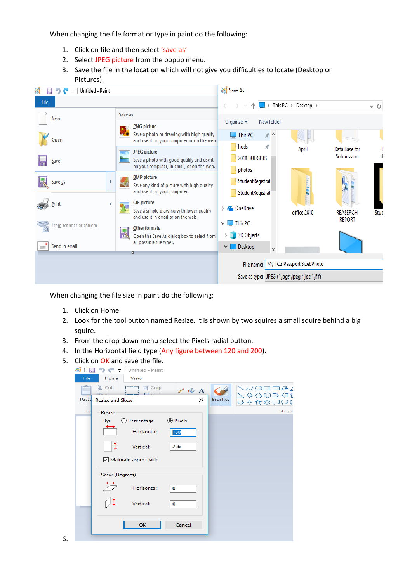When changing the file format or type in paint do the following:

- 1. Click on file and then select 'save as'
- 2. Select JPEG picture from the popup menu.
- 3. Save the file in the location which will not give you difficulties to locate (Desktop or Pictures).



When changing the file size in paint do the following:

- 1. Click on Home
- 2. Look for the tool button named Resize. It is shown by two squires a small squire behind a big squire.
- 3. From the drop down menu select the Pixels radial button.
- 4. In the Horizontal field type (Any figure between 120 and 200).
- 5. Click on OK and save the file.

| Œ<br>$\blacksquare$ =   Untitled - Paint<br>Ð                                                     |                                              |
|---------------------------------------------------------------------------------------------------|----------------------------------------------|
| Home<br>File<br>View                                                                              |                                              |
| & Cut<br><b>ゼ</b> Crop<br>$\mathbb{Z}$ $\otimes$ A<br>Paste<br>$\times$<br><b>Resize and Skew</b> | D□□△∠<br>∧○⇨ ⇦{<br><b>Brushes</b><br>企◆及な○○く |
| ۰<br>Cli<br>Resize                                                                                | Shape                                        |
| <b>●</b> Pixels<br>Percentage<br>By:<br>- 2                                                       |                                              |
| Horizontal:<br>180                                                                                |                                              |
| 256<br>Vertical:                                                                                  |                                              |
| Maintain aspect ratio                                                                             |                                              |
| Skew (Degrees)                                                                                    |                                              |
| Horizontal:<br>$\mathbf 0$                                                                        |                                              |
| Vertical:<br>0                                                                                    |                                              |
| Cancel<br>OK                                                                                      |                                              |
|                                                                                                   |                                              |

6.